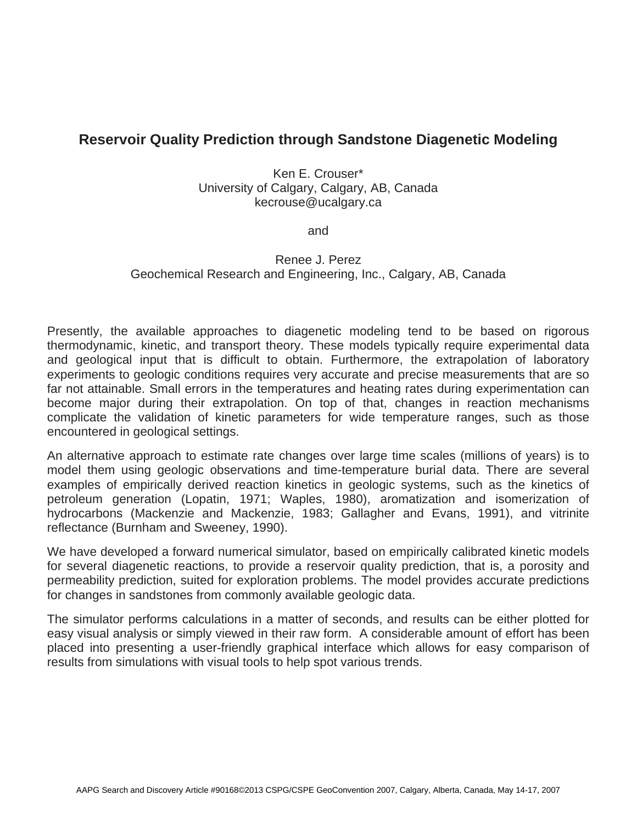## **Reservoir Quality Prediction through Sandstone Diagenetic Modeling**

Ken E. Crouser\* University of Calgary, Calgary, AB, Canada kecrouse@ucalgary.ca

and

## Renee J. Perez Geochemical Research and Engineering, Inc., Calgary, AB, Canada

Presently, the available approaches to diagenetic modeling tend to be based on rigorous thermodynamic, kinetic, and transport theory. These models typically require experimental data and geological input that is difficult to obtain. Furthermore, the extrapolation of laboratory experiments to geologic conditions requires very accurate and precise measurements that are so far not attainable. Small errors in the temperatures and heating rates during experimentation can become major during their extrapolation. On top of that, changes in reaction mechanisms complicate the validation of kinetic parameters for wide temperature ranges, such as those encountered in geological settings.

An alternative approach to estimate rate changes over large time scales (millions of years) is to model them using geologic observations and time-temperature burial data. There are several examples of empirically derived reaction kinetics in geologic systems, such as the kinetics of petroleum generation (Lopatin, 1971; Waples, 1980), aromatization and isomerization of hydrocarbons (Mackenzie and Mackenzie, 1983; Gallagher and Evans, 1991), and vitrinite reflectance (Burnham and Sweeney, 1990).

We have developed a forward numerical simulator, based on empirically calibrated kinetic models for several diagenetic reactions, to provide a reservoir quality prediction, that is, a porosity and permeability prediction, suited for exploration problems. The model provides accurate predictions for changes in sandstones from commonly available geologic data.

The simulator performs calculations in a matter of seconds, and results can be either plotted for easy visual analysis or simply viewed in their raw form. A considerable amount of effort has been placed into presenting a user-friendly graphical interface which allows for easy comparison of results from simulations with visual tools to help spot various trends.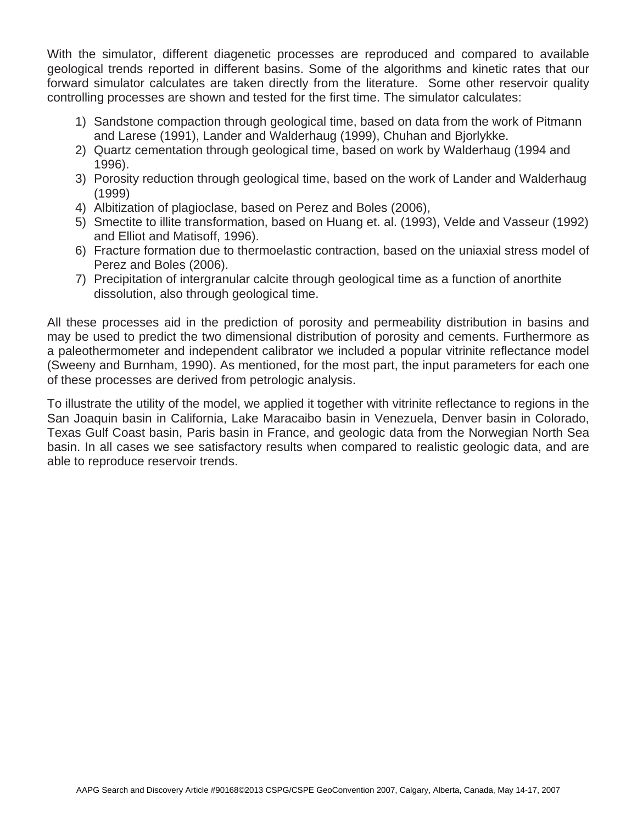With the simulator, different diagenetic processes are reproduced and compared to available geological trends reported in different basins. Some of the algorithms and kinetic rates that our forward simulator calculates are taken directly from the literature. Some other reservoir quality controlling processes are shown and tested for the first time. The simulator calculates:

- 1) Sandstone compaction through geological time, based on data from the work of Pitmann and Larese (1991), Lander and Walderhaug (1999), Chuhan and Bjorlykke.
- 2) Quartz cementation through geological time, based on work by Walderhaug (1994 and 1996).
- 3) Porosity reduction through geological time, based on the work of Lander and Walderhaug (1999)
- 4) Albitization of plagioclase, based on Perez and Boles (2006),
- 5) Smectite to illite transformation, based on Huang et. al. (1993), Velde and Vasseur (1992) and Elliot and Matisoff, 1996).
- 6) Fracture formation due to thermoelastic contraction, based on the uniaxial stress model of Perez and Boles (2006).
- 7) Precipitation of intergranular calcite through geological time as a function of anorthite dissolution, also through geological time.

All these processes aid in the prediction of porosity and permeability distribution in basins and may be used to predict the two dimensional distribution of porosity and cements. Furthermore as a paleothermometer and independent calibrator we included a popular vitrinite reflectance model (Sweeny and Burnham, 1990). As mentioned, for the most part, the input parameters for each one of these processes are derived from petrologic analysis.

To illustrate the utility of the model, we applied it together with vitrinite reflectance to regions in the San Joaquin basin in California, Lake Maracaibo basin in Venezuela, Denver basin in Colorado, Texas Gulf Coast basin, Paris basin in France, and geologic data from the Norwegian North Sea basin. In all cases we see satisfactory results when compared to realistic geologic data, and are able to reproduce reservoir trends.